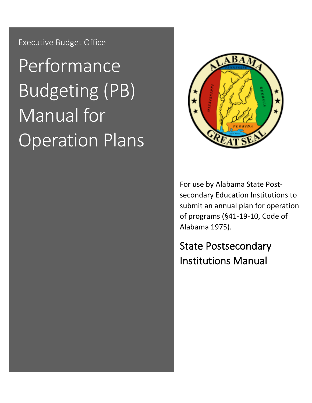Executive Budget Office

# Performance Budgeting (PB) Manual for Operation Plans



For use by Alabama State Postsecondary Education Institutions to submit an annual plan for operation of programs (§41-19-10, Code of Alabama 1975).

<span id="page-0-0"></span>State Postsecondary Institutions Manual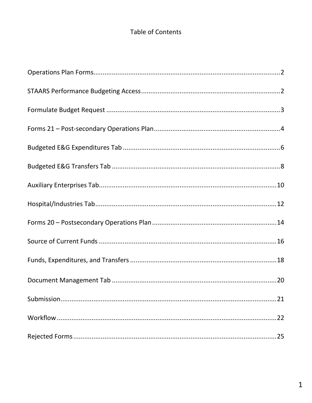### Table of Contents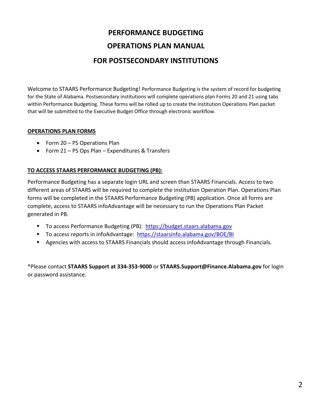## **PERFORMANCE BUDGETING OPERATIONS PLAN MANUAL FOR POSTSECONDARY INSTITUTIONS**

Welcome to STAARS Performance Budgeting! Performance Budgeting is the system of record for budgeting for the State of Alabama. Postsecondary institutions will complete operations plan Forms 20 and 21 using tabs within Performance Budgeting. These forms will be rolled up to create the institution Operations Plan packet that will be submitted to the Executive Budget Office through electronic workflow.

#### **OPERATIONS PLAN FORMS**

- Form 20 PS Operations Plan
- Form 21 PS Ops Plan Expenditures & Transfers

#### **TO ACCESS STAARS PERFORMANCE BUDGETING (PB):**

Performance Budgeting has a separate login URL and screen than STAARS Financials. Access to two different areas of STAARS will be required to complete the institution Operation Plan. Operations Plan forms will be completed in the STAARS Performance Budgeting (PB) application. Once all forms are complete, access to STAARS infoAdvantage will be necessary to run the Operations Plan Packet generated in PB.

- To access Performance Budgeting (PB): [https://budget.staars.alabama.gov](https://budget.staars.alabama.gov/)
- To access reports in infoAdvantage: <https://staarsinfo.alabama.gov/BOE/BI>
- Agencies with access to STAARS Financials should access infoAdvantage through Financials.

\*Please contact **STAARS Support at 334-353-9000** or **STAARS.Support@Finance.Alabama.gov** for login or password assistance.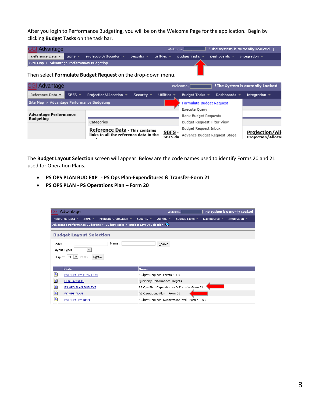After you login to Performance Budgeting, you will be on the Welcome Page for the application. Begin by clicking **Budget Tasks** on the task bar.

| <b>CGI Advantage</b>                       |  |                                                                                                                                                                                 |  | Welcome. | $\Box$ ! The System is currently Locked $\Box$ |  |
|--------------------------------------------|--|---------------------------------------------------------------------------------------------------------------------------------------------------------------------------------|--|----------|------------------------------------------------|--|
|                                            |  | Reference Data $\mathbf{v}$ SBFS $\mathbf{v}$ Projection/Allocation $\mathbf{v}$ Security $\mathbf{v}$ Utilities $\mathbf{v}$ Budget Tasks $\mathbf{v}$ Dashboards $\mathbf{v}$ |  |          | Integration $\pm$                              |  |
| Site Map > Advantage Performance Budgeting |  |                                                                                                                                                                                 |  |          |                                                |  |

Then select **Formulate Budget Request** on the drop-down menu.

| <b>CGI Advantage</b>                                                                                                                              |             |                          |                                   |                                 | Welcome, I                                         |                   | ! The System is currently Locked |
|---------------------------------------------------------------------------------------------------------------------------------------------------|-------------|--------------------------|-----------------------------------|---------------------------------|----------------------------------------------------|-------------------|----------------------------------|
| Reference Data ▼                                                                                                                                  | SBFS $\tau$ | Projection/Allocation ▼  | Security $\overline{\phantom{a}}$ | Utilities $\overline{ }$        | Budget Tasks $\sqrt{ }$                            | Dashboards $\sim$ | Integration $\sqrt{ }$           |
| Site Map > Advantage Performance Budgeting                                                                                                        |             |                          |                                   | <b>Formulate Budget Request</b> |                                                    |                   |                                  |
|                                                                                                                                                   |             |                          |                                   |                                 | Execute Ouery                                      |                   |                                  |
| <b>Advantage Performance</b><br><b>Budgeting</b><br>Categories<br><b>Reference Data - This contains</b><br>links to all the reference data in the |             |                          |                                   |                                 | Rank Budget Requests                               |                   |                                  |
|                                                                                                                                                   |             |                          |                                   |                                 | Budget Request Filter View                         |                   |                                  |
|                                                                                                                                                   |             |                          |                                   |                                 | Budget Reguest Inbox                               |                   |                                  |
|                                                                                                                                                   |             | <u>SBFS</u> -<br>SBFS da | Advance Budget Request Stage      |                                 | <b>Projection/All</b><br><b>Projection/Allocat</b> |                   |                                  |

The **Budget Layout Selection** screen will appear. Below are the code names used to identify Forms 20 and 21 used for Operation Plans.

- **PS OPS PLAN BUD EXP - PS Ops Plan-Expenditures & Transfer-Form 21**
- **PS OPS PLAN - PS Operations Plan – Form 20**

|       | <b>CGI Advantage</b>                                                            |                     |                               | Welcome,                                      |                                 | The System is currently Locked |
|-------|---------------------------------------------------------------------------------|---------------------|-------------------------------|-----------------------------------------------|---------------------------------|--------------------------------|
|       | Reference Data ▼<br>Projection/Allocation $\sim$<br>SBFS $=$                    | Security $\sqrt{*}$ | Utilities $\sim$              | Budget Tasks v                                | Dashboards $\blacktriangledown$ | Integration $\sqrt{ }$         |
|       | Advantage Performance Budgeting $>$ Budget Tasks $>$ Budget Layout Selection    |                     |                               |                                               |                                 |                                |
|       | <b>Budget Layout Selection</b>                                                  |                     |                               |                                               |                                 |                                |
| Code: | Name:<br>$\checkmark$<br>Layout Type:<br>Display $ 20 \n\vee $<br>Sort<br>Items |                     | Search                        |                                               |                                 |                                |
|       | Code                                                                            | <b>Name</b>         |                               |                                               |                                 |                                |
| D     | <b>BUD REQ BY FUNCTION</b>                                                      |                     | Budget Request- Forms 5 & 6   |                                               |                                 |                                |
| Đ     | <b>OPR TARGETS</b>                                                              |                     | Quarterly Performance Targets |                                               |                                 |                                |
| Đ     | PS OPS PLAN BUD EXP                                                             |                     |                               | PS Ops Plan-Expenditures & Transfer-Form 21   |                                 |                                |
| Đ     | PS OPS PLAN                                                                     |                     | PS Operations Plan - Form 20  |                                               |                                 |                                |
| D     | <b>BUD REQ BY DEPT</b>                                                          |                     |                               | Budget Request- Department level- Forms 1 & 3 |                                 |                                |
|       |                                                                                 |                     |                               |                                               |                                 |                                |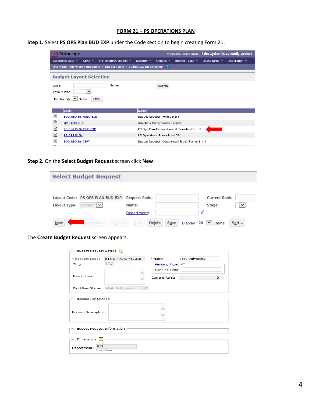#### **FORM 21 – PS OPERATIONS PLAN**

| Step 1. Select PS OPS Plan BUD EXP under the Code section to begin creating Form 21. |  |
|--------------------------------------------------------------------------------------|--|
|--------------------------------------------------------------------------------------|--|

|       | GI Advantage                                                                            | Welcome, lataya.lucas ! The System is currently Locked                                                        |
|-------|-----------------------------------------------------------------------------------------|---------------------------------------------------------------------------------------------------------------|
|       | Reference Data ▼<br>Projection/Allocation $\sim$<br>SBFS $\sim$                         | Security $\sqrt{ }$<br>Utilities $\sim$<br>Dashboards $\sim$<br>Integration $\sim$<br>Budget Tasks $\sqrt{ }$ |
|       | Advantage Performance Budgeting $>$ Budget Tasks $>$ Budget Layout Selection            |                                                                                                               |
|       | <b>Budget Layout Selection</b>                                                          |                                                                                                               |
| Code: | Name:<br>$\checkmark$<br>Layout Type:<br>Display 20<br>$\vert \vee \vert$ Items<br>Sort | Search                                                                                                        |
|       | Code                                                                                    | <b>Name</b>                                                                                                   |
| D     | <b>BUD REQ BY FUNCTION</b>                                                              | Budget Request- Forms 5 & 6                                                                                   |
| Đ     | <b>OPR TARGETS</b>                                                                      | Quarterly Performance Targets                                                                                 |
| Đ     | PS OPS PLAN BUD EXP                                                                     | PS Ops Plan-Expenditures & Transfer-Form 21                                                                   |
| Đ     | PS OPS PLAN                                                                             | PS Operations Plan - Form 20                                                                                  |
| Đ     | <b>BUD REQ BY DEPT</b>                                                                  | Budget Request- Department level- Forms 1 & 3                                                                 |

**Step 2.** On the **Select Budget Request** screen click **New.** 

| <b>Select Budget Request</b>         |                |                                             |  |  |
|--------------------------------------|----------------|---------------------------------------------|--|--|
|                                      |                |                                             |  |  |
| Layout Code: PS OPS PLAN BUD EXP     | Request Code:  | Current Rank:                               |  |  |
| Generic V<br>Layout Type:            | Name:          | $\checkmark$<br>Stage:                      |  |  |
|                                      | Department:    |                                             |  |  |
| Lopy Header   Copy All   View<br>New | Delete<br>Save | Display 20 $\vert \vee \vert$ Items<br>Sort |  |  |

The **Create Budget Request** screen appears.

| r⊟ Budget Request Details [i]                 |                                   |                  |                 |         |  |
|-----------------------------------------------|-----------------------------------|------------------|-----------------|---------|--|
| * Request Code:                               | 513 OP PLAN FY2018                | * Name:          | Troy University |         |  |
| Stage:                                        | $1$ $\vee$                        | Ranking Type: 4. |                 |         |  |
|                                               |                                   | Ranking Type:    |                 |         |  |
| Description:                                  |                                   |                  |                 |         |  |
|                                               |                                   | Current Rank:    |                 | $\circ$ |  |
|                                               |                                   |                  |                 |         |  |
|                                               | Workflow Status: Work In Progress |                  |                 |         |  |
| r⊟ Reason For Change -<br>Reason Description: |                                   |                  |                 |         |  |
| r ⊟ Budget Request Information                |                                   |                  |                 |         |  |
| $\overline{F}$ Dimensions $\overline{F}$      |                                   |                  |                 |         |  |
| 513<br>Department:<br>Troy State              |                                   |                  |                 |         |  |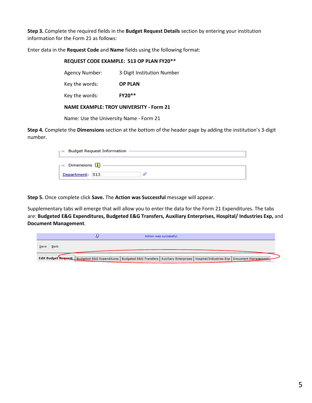**Step 3.** Complete the required fields in the **Budget Request Details** section by entering your institution information for the Form 21 as follows:

Enter data in the **Request Code** and **Name** fields using the following format:

| REQUEST CODE EXAMPLE: 513 OP PLAN FY20**       |                            |  |  |
|------------------------------------------------|----------------------------|--|--|
| <b>Agency Number:</b>                          | 3-Digit Institution Number |  |  |
| Key the words:                                 | <b>OP PLAN</b>             |  |  |
| Key the words:                                 | <b>FY20**</b>              |  |  |
| <b>NAME EXAMPLE: TROY UNIVERSITY - Form 21</b> |                            |  |  |
| Name: Use the University Name - Form 21        |                            |  |  |

**Step 4.** Complete the **Dimensions** section at the bottom of the header page by adding the institution's 3-digit number.

| Budget Request Information                       |  |
|--------------------------------------------------|--|
| Dimensions $\begin{bmatrix} \cdot \end{bmatrix}$ |  |
| Department: 513                                  |  |

**Step 5.** Once complete click **Save.** The **Action was Successful** message will appear.

Supplementary tabs will emerge that will allow you to enter the data for the Form 21 Expenditures. The tabs are: **Budgeted E&G Expenditures, Budgeted E&G Transfers, Auxiliary Enterprises, Hospital/ Industries Exp,** and **Document Management**.

|                     | Action was successful.                                                                                                                           |  |
|---------------------|--------------------------------------------------------------------------------------------------------------------------------------------------|--|
| <b>Back</b><br>Save |                                                                                                                                                  |  |
|                     | Fdit Budget Request   Budgeted E&G Expenditures   Budgeted E&G Transfers   Auxiliary Enterprises   Hospital/Industries Exp   Document Management |  |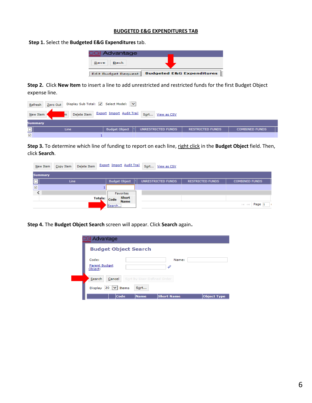#### **BUDGETED E&G EXPENDITURES TAB**

**Step 1.** Select the **Budgeted E&G Expenditures** tab.

| <b>CGI Advantage</b>       |                                      |
|----------------------------|--------------------------------------|
| <b>Back</b><br>Save        |                                      |
| <b>Edit Budget Request</b> | <b>Budgeted E&amp;G Expenditures</b> |

**Step 2.** Click **New Item** to insert a line to add unrestricted and restricted funds for the first Budget Object expense line.

|                      | Zero Out Display Sub Total: V Select Model: V<br>Refresh           |                                            |                         |                       |  |  |  |  |
|----------------------|--------------------------------------------------------------------|--------------------------------------------|-------------------------|-----------------------|--|--|--|--|
|                      | Delete Item Export Import Audit Trail Sort View as CSV<br>New Item |                                            |                         |                       |  |  |  |  |
| Summary              |                                                                    |                                            |                         |                       |  |  |  |  |
| $\Box$               | <b>Line</b>                                                        | <b>Budget Object</b><br>UNRESTRICTED FUNDS | <b>RESTRICTED FUNDS</b> | <b>COMBINED FUNDS</b> |  |  |  |  |
| $\blacktriangledown$ |                                                                    |                                            |                         |                       |  |  |  |  |

**Step 3.** To determine which line of funding to report on each line, right click in the **Budget Object** field. Then, click **Search**.

| New Item             | Delete Item<br>Copy Item | Export Import Audit Trail |                      | Sort<br>View as CSV |                         |                                                                              |
|----------------------|--------------------------|---------------------------|----------------------|---------------------|-------------------------|------------------------------------------------------------------------------|
| <b>Summary</b>       |                          |                           |                      |                     |                         |                                                                              |
|                      | Line                     |                           | <b>Budget Object</b> | UNRESTRICTED FUNDS  | <b>RESTRICTED FUNDS</b> | <b>COMBINED FUNDS</b>                                                        |
| $\blacktriangledown$ |                          |                           |                      |                     |                         |                                                                              |
|                      |                          |                           | <b>Favorites</b>     |                     |                         |                                                                              |
|                      |                          | Totals: Code<br>Search    | Short<br><b>Name</b> |                     |                         | Page 1<br>$\left\Vert \cdot\right\Vert \quad\leq\left\Vert \cdot\right\Vert$ |

**Step 4.** The **Budget Object Search** screen will appear. Click **Search** again.

| <b>CGI Advantage</b>              |                                                                |
|-----------------------------------|----------------------------------------------------------------|
|                                   | <b>Budget Object Search</b>                                    |
| Code:<br>Parent Budget<br>Object: | Name:<br>4                                                     |
| Search                            | Sort by User-Defined Order<br>Cancel                           |
| <b>Display</b>                    | $20 \mid \vee \mid$ Items<br>Sort                              |
|                                   | <b>Short Name</b><br>Code<br><b>Object Type</b><br><b>Name</b> |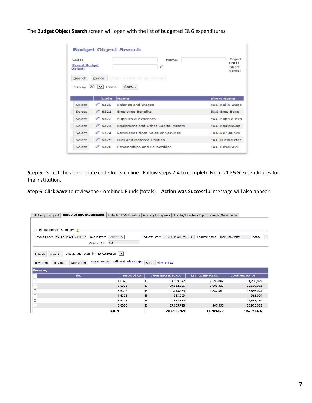The **Budget Object Search** screen will open with the list of budgeted E&G expenditures.

| Code:<br><b>Parent Budget</b><br>Object: |                               | Name:                              | Object<br>Type:<br>Short<br>Name:                                                  |  |
|------------------------------------------|-------------------------------|------------------------------------|------------------------------------------------------------------------------------|--|
| Search<br>Display                        | Cancel<br>$20 \times$ Items   | Sort by User-Defined Order<br>Sort |                                                                                    |  |
|                                          |                               |                                    |                                                                                    |  |
| Select                                   | Code<br>$\mathscr{L}$<br>6320 | <b>Name</b><br>Salaries and Wages  | <b>Short Name</b>                                                                  |  |
| Select                                   | 46321                         | <b>Employee Benefits</b>           | E&G-Emp Bene                                                                       |  |
| Select                                   | 6322                          | Supplies & Expenses                |                                                                                    |  |
| Select                                   | 46323                         | Equipment and Other Capital Assets |                                                                                    |  |
| Select                                   | $\mathscr{L}$<br>6324         | Recoveries from Sales or Services  |                                                                                    |  |
| Select                                   | $\%$ 6325                     | <b>Fuel and Metered Utilities</b>  | E&G-Sal & Wage<br>E&G-Supp & Exp<br>E&G-Equip⋒<br>E&G-Re Sal/Srv<br>E&G-Fuel&Meter |  |

**Step 5.** Select the appropriate code for each line. Follow steps 2-4 to complete Form 21 E&G expenditures for the institution.

**Step 6**. Click **Save** to review the Combined Funds (totals). **Action was Successful** message will also appear.

| Edit Budget Request                                                                                                                      | <b>Budgeted E&amp;G Expenditures</b> | Budgeted E&G Transfers   Auxiliary Enterprises   Hospital/Industries Exp   Document Management |                     |                         |           |                       |  |
|------------------------------------------------------------------------------------------------------------------------------------------|--------------------------------------|------------------------------------------------------------------------------------------------|---------------------|-------------------------|-----------|-----------------------|--|
|                                                                                                                                          |                                      |                                                                                                |                     |                         |           |                       |  |
| Budget Request Summary [1]<br>- 8                                                                                                        |                                      |                                                                                                |                     |                         |           |                       |  |
| Layout Code: PS OPS PLAN BUD EXP Layout Type: Generic V<br>Request Code: 513 OP PLAN FY2018<br>Request Name: Troy University<br>Stage: 1 |                                      |                                                                                                |                     |                         |           |                       |  |
| Department: 513                                                                                                                          |                                      |                                                                                                |                     |                         |           |                       |  |
|                                                                                                                                          |                                      |                                                                                                |                     |                         |           |                       |  |
| Zero Out<br>Refresh                                                                                                                      | Display Sub Total: V Select Model: V |                                                                                                |                     |                         |           |                       |  |
|                                                                                                                                          |                                      | <b>Export Import Audit Trail View Graph</b>                                                    |                     |                         |           |                       |  |
| Copy Item<br>New Item                                                                                                                    | Delete Item                          |                                                                                                | Sort<br>View as CSV |                         |           |                       |  |
| <b>Summary</b>                                                                                                                           |                                      |                                                                                                |                     |                         |           |                       |  |
| O                                                                                                                                        | Line                                 | <b>Budget Object</b>                                                                           | UNRESTRICTED FUNDS  | <b>RESTRICTED FUNDS</b> |           | <b>COMBINED FUNDS</b> |  |
| $\Box$                                                                                                                                   |                                      | 1 6320                                                                                         | Е                   | 93,939,942              | 7,296,887 | 101,236,829           |  |
| $\Box$                                                                                                                                   |                                      | 2 6321                                                                                         | E                   | 28,912,656              | 1,688,326 | 30,600,982            |  |
| $\Box$                                                                                                                                   |                                      | 3 6322                                                                                         | Е                   | 47,018,769              | 1,837,304 | 48,856,073            |  |
| $\Box$                                                                                                                                   |                                      | 4 6323                                                                                         | E                   | 963,009                 |           | 963,009               |  |
| $\Box$                                                                                                                                   |                                      | 5 6325                                                                                         | Е                   | 7,568,160               |           | 7,568,160             |  |
| $\Box$                                                                                                                                   |                                      | 6 6326                                                                                         | Е                   | 25,005,728              | 967,355   | 25,973,083            |  |
|                                                                                                                                          |                                      |                                                                                                |                     |                         |           |                       |  |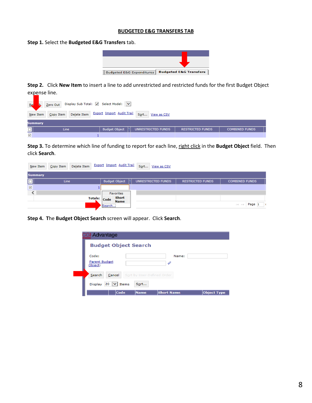#### **BUDGETED E&G TRANSFERS TAB**

**Step 1.** Select the **Budgeted E&G Transfers** tab.



**Step 2.** Click **New Item** to insert a line to add unrestricted and restricted funds for the first Budget Object expense line.

| Re                   | Zero Out Display Sub Total: V Select Model: V<br>lh. |                                                           |                         |                       |  |  |  |
|----------------------|------------------------------------------------------|-----------------------------------------------------------|-------------------------|-----------------------|--|--|--|
|                      | Copy Item<br>New Item                                | Delete Item Export Import Audit Trail<br>Sort View as CSV |                         |                       |  |  |  |
|                      | Summary                                              |                                                           |                         |                       |  |  |  |
| $\Box$               | <b>Line</b>                                          | <b>Budget Object</b><br>UNRESTRICTED FUNDS                | <b>RESTRICTED FUNDS</b> | <b>COMBINED FUNDS</b> |  |  |  |
| $\blacktriangledown$ |                                                      |                                                           |                         |                       |  |  |  |

**Step 3.** To determine which line of funding to report for each line, right click in the **Budget Object** field. Then click **Search**.

| New Item                | Delete Item<br>Copy Item | <b>Export Import Audit Trail</b>                          | Sort View as CSV   |                         |                                                                |
|-------------------------|--------------------------|-----------------------------------------------------------|--------------------|-------------------------|----------------------------------------------------------------|
| <b>Summary</b>          |                          |                                                           |                    |                         |                                                                |
| 冋                       | Line                     | <b>Budget Object</b>                                      | UNRESTRICTED FUNDS | <b>RESTRICTED FUNDS</b> | <b>COMBINED FUNDS</b>                                          |
| $\overline{\mathbf{v}}$ |                          |                                                           |                    |                         |                                                                |
|                         |                          | <b>Favorites</b>                                          |                    |                         |                                                                |
|                         |                          | <b>Short</b><br>Totals: Code<br><b>Name</b><br><br>Search |                    |                         | Page 1<br>$\  \cdot \  \cdot \  \cdot \cdot \cdot \  \cdot \ $ |

**Step 4. T**he **Budget Object Search** screen will appear. Click **Search**.

| <b>CGI Advantage</b>                                |                                         |
|-----------------------------------------------------|-----------------------------------------|
| <b>Budget Object Search</b>                         |                                         |
| Code:<br>Parent Budget<br>Object:                   | Name:<br>4                              |
| Search<br>Cancel                                    | Sort by User-Defined Order              |
| Sort<br>$20 \mid \vee \mid$ Items<br><b>Display</b> |                                         |
| Code<br><b>Name</b>                                 | <b>Short Name</b><br><b>Object Type</b> |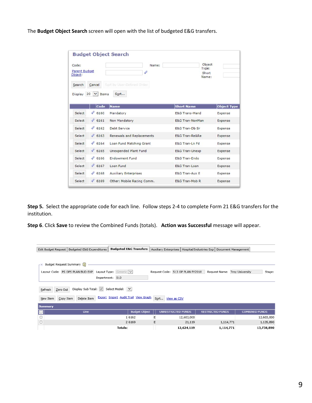The **Budget Object Search** screen will open with the list of budgeted E&G transfers.

| Code:<br><b>Parent Budget</b><br>Object:<br>Search | Cancel               | Name:<br>Sort by User-Defined Order | Object<br>Type:<br>Short<br>Name: |                    |
|----------------------------------------------------|----------------------|-------------------------------------|-----------------------------------|--------------------|
| Display 20                                         | $\vee$ Items<br>Code | Sort<br><b>Name</b>                 | <b>Short Name</b>                 | <b>Object Type</b> |
| Select                                             | D<br>6160            | Mandatory                           | <b>E&amp;G Trans-Mand</b>         | Expense            |
| Select                                             | 46161                | Non Mandatory                       | <b>E&amp;G Tran-NonMan</b>        | Expense            |
| Select                                             | 4<br>6162            | Debt Service                        | <b>E&amp;G Tran-Db Sr</b>         | Expense            |
| Select                                             | 46163                | <b>Renewals and Replacements</b>    | E&G Tran-Reℜ                      | Expense            |
| Select                                             | 46164                | Loan Fund Matching Grant            | <b>E&amp;G Tran-Ln Fd</b>         | Expense            |
| Select                                             | 46165                | Unexpended Plant Fund               | <b>E&amp;G Tran-Unexp</b>         | Expense            |
| Select                                             | 4<br>6166            | <b>Endowment Fund</b>               | <b>E&amp;G Tran-Endo</b>          | Expense            |
|                                                    | 46167                | Loan Fund                           | E&G Tran-Loan                     | Expense            |
| Select                                             |                      |                                     |                                   |                    |
| Select                                             | 4<br>6168            | <b>Auxiliary Enterprises</b>        | <b>E&amp;G Tran-Aux E</b>         | Expense            |

**Step 5.** Select the appropriate code for each line. Follow steps 2-4 to complete Form 21 E&G transfers for the institution.

**Step 6**. Click **Save** to review the Combined Funds (totals). **Action was Successful** message will appear.

|                                                                                                                                                                    | Edit Budget Request   Budgeted E&G Expenditures         | <b>Budgeted E&amp;G Transfers</b> |   |  | Auxiliary Enterprises   Hospital/Industries Exp   Document Management |                         |           |                               |                       |
|--------------------------------------------------------------------------------------------------------------------------------------------------------------------|---------------------------------------------------------|-----------------------------------|---|--|-----------------------------------------------------------------------|-------------------------|-----------|-------------------------------|-----------------------|
|                                                                                                                                                                    |                                                         |                                   |   |  |                                                                       |                         |           |                               |                       |
| FE Budget Request Summary [1]                                                                                                                                      |                                                         |                                   |   |  |                                                                       |                         |           |                               |                       |
|                                                                                                                                                                    | Layout Code: PS OPS PLAN BUD EXP Layout Type: Generic V |                                   |   |  | Request Code: 513 OP PLAN FY2018                                      |                         |           | Request Name: Troy University | Stage:                |
|                                                                                                                                                                    |                                                         | Department: 513                   |   |  |                                                                       |                         |           |                               |                       |
| Display Sub Total: V Select Model: V<br>Zero Out<br>Refresh<br>Export Import Audit Trail View Graph<br>Sort<br>Delete Item<br>Copy Item<br>View as CSV<br>New Item |                                                         |                                   |   |  |                                                                       |                         |           |                               |                       |
| <b>Summary</b>                                                                                                                                                     |                                                         |                                   |   |  |                                                                       |                         |           |                               |                       |
| ⊡                                                                                                                                                                  | Line                                                    | <b>Budget Object</b>              |   |  | UNRESTRICTED FUNDS                                                    | <b>RESTRICTED FUNDS</b> |           |                               | <b>COMBINED FUNDS</b> |
| $\Box$                                                                                                                                                             |                                                         | 1 6 1 6 2                         | Е |  | 12,603,000                                                            |                         |           |                               | 12,603,000            |
| □                                                                                                                                                                  |                                                         | 2 6 1 6 9                         | E |  | 21,119                                                                |                         | 1,114,771 |                               | 1,135,890             |
|                                                                                                                                                                    |                                                         | Totals:                           |   |  | 12,624,119                                                            |                         | 1,114,771 |                               | 13,738,890            |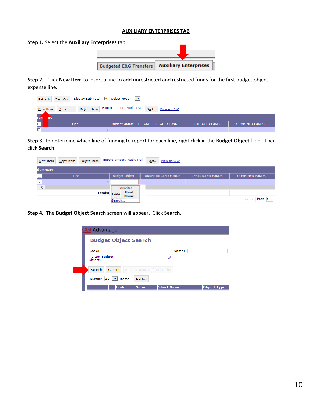#### **AUXILIARY ENTERPRISES TAB**

**Step 1.** Select the **Auxiliary Enterprises** tab. **Budgeted E&G Transfers | Auxiliary Enterprises** 

**Step 2.** Click **New Item** to insert a line to add unrestricted and restricted funds for the first budget object expense line.

| Zero Out Display Sub Total: V Select Model: V<br>Refresh                           |                                            |                         |                       |  |  |  |  |
|------------------------------------------------------------------------------------|--------------------------------------------|-------------------------|-----------------------|--|--|--|--|
| Export Import Audit Trail Sort View as CSV<br>Delete Item<br>Copy Item<br>New Item |                                            |                         |                       |  |  |  |  |
| Sun<br>œ                                                                           |                                            |                         |                       |  |  |  |  |
| $\overline{\blacksquare}$<br>Line                                                  | <b>Budget Object</b><br>UNRESTRICTED FUNDS | <b>RESTRICTED FUNDS</b> | <b>COMBINED FUNDS</b> |  |  |  |  |
| $\prec$                                                                            |                                            |                         |                       |  |  |  |  |

**Step 3.** To determine which line of funding to report for each line, right click in the **Budget Object** field. Then click **Search**.

| New Item                | Delete Item<br>Copy Item | <b>Export Import Audit Trail</b> | Sort View as CSV                     |                         |                       |  |
|-------------------------|--------------------------|----------------------------------|--------------------------------------|-------------------------|-----------------------|--|
| <b>Summary</b>          |                          |                                  |                                      |                         |                       |  |
|                         | Line                     | <b>Budget Object</b>             | UNRESTRICTED FUNDS                   | <b>RESTRICTED FUNDS</b> | <b>COMBINED FUNDS</b> |  |
| $\overline{\mathbf{v}}$ |                          |                                  |                                      |                         |                       |  |
|                         |                          | <b>Favorites</b>                 |                                      |                         |                       |  |
|                         | <b>Totals:</b>           | Short<br>Code                    |                                      |                         |                       |  |
|                         |                          | <b>Name</b><br>Search            | $\mathbb{R}$ and $\mathbb{R}$ Page 1 |                         |                       |  |

**Step 4. T**he **Budget Object Search** screen will appear. Click **Search**.

| <b>CGI Advantage</b>                                           |
|----------------------------------------------------------------|
| <b>Budget Object Search</b>                                    |
| Code:<br>Name:<br>Parent Budget<br>D<br>Object:                |
| Cancel<br>Sort by User-Defined Order<br>Search                 |
| $20 \mid \vee \mid$ Items<br>Sort<br><b>Display</b>            |
| Code<br><b>Object Type</b><br><b>Short Name</b><br><b>Name</b> |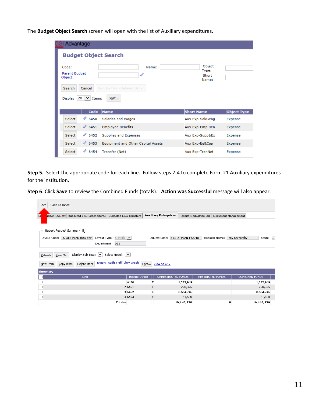The **Budget Object Search** screen will open with the list of Auxiliary expenditures.

| <b>Advantage</b>                                                                                                |                                                  |                                   |                    |
|-----------------------------------------------------------------------------------------------------------------|--------------------------------------------------|-----------------------------------|--------------------|
| <b>Budget Object Search</b>                                                                                     |                                                  |                                   |                    |
| Code:<br>Parent Budget<br>Object:<br>Search<br>Cancel<br>20<br><b>Display</b><br>$\vert \mathbf{v} \vert$ Items | Name:<br>4<br>Sort by User-Defined Order<br>Sort | Object<br>Type:<br>Short<br>Name: |                    |
| Code                                                                                                            | <b>Name</b>                                      | <b>Short Name</b>                 | <b>Object Type</b> |
| $\mathscr{O}$ 6450<br>Select                                                                                    | Salaries and Wages                               | Aux Exp-Sal&Wag                   | Expense            |
| $\mathscr{Q}$ 6451<br>Select                                                                                    | <b>Employee Benefits</b>                         | Aux Exp-Emp Ben                   | Expense            |
| $\mathscr{D}$ 6452<br>Select                                                                                    | Supplies and Expenses                            | Aux Exp-Supp&Ex                   | Expense            |
| $\mathscr{Q}$ 6453<br>Select                                                                                    | <b>Equipment and Other Capital Assets</b>        | Aux Exp-Eq⋒                       | Expense            |
|                                                                                                                 |                                                  |                                   |                    |

**Step 5.** Select the appropriate code for each line. Follow steps 2-4 to complete Form 21 Auxiliary expenditures for the institution.

**Step 6**. Click **Save** to review the Combined Funds (totals). **Action was Successful** message will also appear.

| Back To Inbox<br>Save                                                                                                                                                                                                                                |                      |                              |            |                                               |                       |            |  |
|------------------------------------------------------------------------------------------------------------------------------------------------------------------------------------------------------------------------------------------------------|----------------------|------------------------------|------------|-----------------------------------------------|-----------------------|------------|--|
| E <sub>d</sub><br>udget Request   Budgeted E&G Expenditures   Budgeted E&G Transfers                                                                                                                                                                 |                      | <b>Auxiliary Enterprises</b> |            | Hospital/Industries Exp   Document Management |                       |            |  |
| Budget Request Summary [1]<br>- 8<br>Layout Code: PS OPS PLAN BUD EXP Layout Type: Generic V<br>Request Code: 513 OP PLAN FY2018<br>Stage: 1<br>Request Name: Troy University<br>Department: 513<br>Display Sub Total: V Select Model: V<br>Zero Out |                      |                              |            |                                               |                       |            |  |
| Refresh<br>Export Audit Trail View Graph<br>Delete Item<br>Copy Item<br>New Item                                                                                                                                                                     |                      | Sort View as CSV             |            |                                               |                       |            |  |
| <b>Summary</b>                                                                                                                                                                                                                                       |                      |                              |            |                                               |                       |            |  |
| Line<br>о                                                                                                                                                                                                                                            | <b>Budget Object</b> | <b>UNRESTRICTED FUNDS</b>    |            | <b>RESTRICTED FUNDS</b>                       | <b>COMBINED FUNDS</b> |            |  |
| $\Box$                                                                                                                                                                                                                                               | 1 6450               | Е                            | 1,222,949  |                                               |                       | 1,222,949  |  |
| □                                                                                                                                                                                                                                                    | 2 6451               | Ε                            | 220,325    |                                               |                       | 220,325    |  |
| $\Box$                                                                                                                                                                                                                                               | 3 6452               | E                            | 8,654,746  |                                               |                       | 8,654,746  |  |
| □                                                                                                                                                                                                                                                    | 4 6 4 5 3            | E                            | 51,500     |                                               |                       | 51,500     |  |
| <b>Totals:</b>                                                                                                                                                                                                                                       |                      |                              | 10,149,520 |                                               | 0                     | 10,149,520 |  |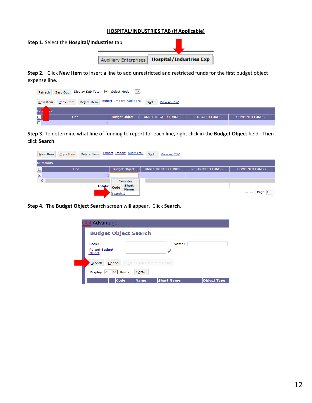#### **HOSPITAL/INDUSTRIES TAB (If Applicable)**

| Step 1. Select the Hospital/Industries tab. |                                                 |  |  |  |  |  |
|---------------------------------------------|-------------------------------------------------|--|--|--|--|--|
|                                             | Auxiliary Enterprises   Hospital/Industries Exp |  |  |  |  |  |

**Step 2.** Click **New Item** to insert a line to add unrestricted and restricted funds for the first budget object expense line.

| Refresh    | Zero Out Display Sub Total: V Select Model: V |                                                      |                         |                       |  |  |  |  |  |
|------------|-----------------------------------------------|------------------------------------------------------|-------------------------|-----------------------|--|--|--|--|--|
| New Item   | Delete Item<br>Copy Item                      | <b>Export Import Audit Trail</b><br>Sort View as CSV |                         |                       |  |  |  |  |  |
| <b>Sue</b> |                                               |                                                      |                         |                       |  |  |  |  |  |
|            | Line.                                         | <b>Budget Object</b><br>UNRESTRICTED FUNDS           | <b>RESTRICTED FUNDS</b> | <b>COMBINED FUNDS</b> |  |  |  |  |  |
| V          |                                               |                                                      |                         |                       |  |  |  |  |  |

**Step 3.** To determine what line of funding to report for each line, right click in the **Budget Object** field. Then click **Search**.

| New Item                 | Delete Item<br>Copy Item |              | <b>Export Import Audit Trail</b>    | Sort View as CSV   |                         |                                                      |
|--------------------------|--------------------------|--------------|-------------------------------------|--------------------|-------------------------|------------------------------------------------------|
| <b>Summary</b>           |                          |              |                                     |                    |                         |                                                      |
|                          | Line                     |              | <b>Budget Object</b>                | UNRESTRICTED FUNDS | <b>RESTRICTED FUNDS</b> | <b>COMBINED FUNDS</b>                                |
| $\overline{\phantom{a}}$ |                          |              |                                     |                    |                         |                                                      |
|                          |                          |              | <b>Favorites</b>                    |                    |                         |                                                      |
|                          |                          | Totals: Code | Short<br><b>Name</b><br>.<br>Search |                    |                         | $\mathbb{R}^n \ll \mathbb{R}$ Page 1<br>$\mathbf{r}$ |

**Step 4. T**he **Budget Object Search** screen will appear. Click **Search**.

| <b>CGI Advantage</b>                                           |
|----------------------------------------------------------------|
| <b>Budget Object Search</b>                                    |
| Code:<br>Name:<br>Parent Budget<br>D<br>Object:                |
| Search<br>Cancel<br>Sort by User-Defined Order                 |
| <b>Display</b><br>$20 \,$ $\vee$ Items<br>Sort                 |
| Code<br><b>Object Type</b><br><b>Short Name</b><br><b>Name</b> |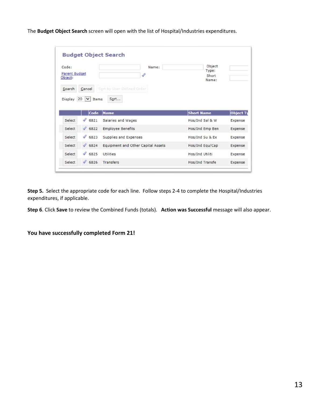The **Budget Object Search** screen will open with the list of Hospital/Industries expenditures.

| Code:<br><b>Parent Budget</b><br>Object: |              | Name:<br>4                        | Object<br>Type:<br>Short<br>Name:  |                                      |                                                                         |
|------------------------------------------|--------------|-----------------------------------|------------------------------------|--------------------------------------|-------------------------------------------------------------------------|
| Search<br>Display                        | Cancel<br>20 | $\vert \mathbf{v} \vert$<br>Items | Sort by User-Defined Order<br>Sort |                                      |                                                                         |
|                                          |              |                                   |                                    |                                      |                                                                         |
| Select                                   |              | Code<br>46821                     | Name<br>Salaries and Wages         | <b>Short Name</b><br>Hos/Ind Sal & W |                                                                         |
| Select                                   |              | 46822                             | <b>Employee Benefits</b>           | Hos/Ind Emp Ben                      |                                                                         |
| Select                                   |              | 46823                             | Supplies and Expenses              | Hos/Ind Su & Ex                      |                                                                         |
| Select                                   |              | 46824                             | Equipment and Other Capital Assets | Hos/Ind Equ/Cap                      |                                                                         |
| Select                                   |              | 46825                             | Utilities                          | Hos/Ind Utiliti                      | <b>Object Ty</b><br>Expense<br>Expense<br>Expense<br>Expense<br>Expense |

**Step 5.** Select the appropriate code for each line. Follow steps 2-4 to complete the Hospital/Industries expenditures, if applicable.

**Step 6**. Click **Save** to review the Combined Funds (totals). **Action was Successful** message will also appear.

**You have successfully completed Form 21!**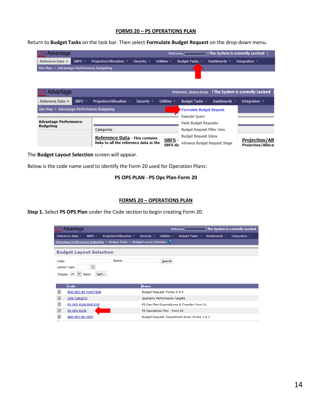#### **FORMS 20 – PS OPERATIONS PLAN**

Return to **Budget Tasks** on the task bar. Then select **Formulate Budget Request** on the drop-down menu.

| <b>CGI Advantage</b>                       |  |                                                                                                    |  |  | Welcome, |  | $\lnot$ ! The System is currently Locked $\lnot$ |  |
|--------------------------------------------|--|----------------------------------------------------------------------------------------------------|--|--|----------|--|--------------------------------------------------|--|
|                                            |  | Reference Data ▼ SBFS ▼ Projection/Allocation ▼ Security ▼ Utilities ▼ Budget Tasks ▼ Dashboards ▼ |  |  |          |  | Integration $\overline{\phantom{a}}$             |  |
| Site Map > Advantage Performance Budgeting |  |                                                                                                    |  |  |          |  |                                                  |  |
|                                            |  |                                                                                                    |  |  |          |  |                                                  |  |

| il Advantage                               |                              |                                                                                 |                                   |                                    |                                                      |                   | Welcome, lataya.lucas ! The System is currently Locked |
|--------------------------------------------|------------------------------|---------------------------------------------------------------------------------|-----------------------------------|------------------------------------|------------------------------------------------------|-------------------|--------------------------------------------------------|
| Reference Data ▼                           | SBFS $=$                     | Projection/Allocation ▼                                                         | Security $\overline{\phantom{a}}$ | Utilities $\overline{\phantom{a}}$ | Budget Tasks $\sqrt{*}$                              | Dashboards $\sim$ | Integration $\sqrt{ }$                                 |
| Site Map > Advantage Performance Budgeting |                              |                                                                                 |                                   |                                    | Formulate Budget Request                             |                   |                                                        |
|                                            |                              |                                                                                 |                                   |                                    |                                                      |                   |                                                        |
| <b>Budgeting</b>                           | <b>Advantage Performance</b> |                                                                                 |                                   |                                    | Rank Budget Requests                                 |                   |                                                        |
|                                            |                              | Categories                                                                      |                                   |                                    | Budget Request Filter View                           |                   |                                                        |
|                                            |                              | <b>Reference Data - This contains</b><br>links to all the reference data in the |                                   | <b>SBFS</b><br>SBFS da             | Budget Request Inbox<br>Advance Budget Request Stage |                   | <b>Projection/All</b><br><b>Projection/Allocat</b>     |

The **Budget Layout Selection** screen will appear.

Below is the code name used to identify the Form 20 used for Operation Plans:

#### **PS OPS PLAN - PS Ops Plan-Form 20**

#### **FORMS 20 – OPERATIONS PLAN**

**Step 1.** Select **PS OPS Plan** under the Code section to begin creating Form 20.

| <b>CGI Advantage</b>                                                                                       | The System is currently Locked<br>Welcome,                                              |
|------------------------------------------------------------------------------------------------------------|-----------------------------------------------------------------------------------------|
| Projection/Allocation $\sqrt{ }$ Security $\sqrt{ }$<br>Reference Data ▼<br>SBFS $\tau$                    | Utilities $\sim$<br>Budget Tasks $\sqrt{ }$<br>Dashboards v<br>Integration $\mathbb{R}$ |
| <b>Advantage Performance Budgeting &gt; Budget Tasks &gt; Budget Layout Selection <math>\bullet</math></b> |                                                                                         |
| <b>Budget Layout Selection</b>                                                                             |                                                                                         |
| Name:<br>Code:<br>$\checkmark$<br>Layout Type:<br>Display 20 $\vert \vee \vert$ Items<br>Sort              | Search                                                                                  |
| Code                                                                                                       | <b>Name</b>                                                                             |
| Đ<br><b>BUD REQ BY FUNCTION</b>                                                                            | Budget Request- Forms 5 & 6                                                             |
| Đ<br><b>OPR TARGETS</b>                                                                                    | Quarterly Performance Targets                                                           |
| Đ<br>PS OPS PLAN BUD EXP                                                                                   | PS Ops Plan-Expenditures & Transfer-Form 21                                             |
| Đ<br>PS OPS PLAN                                                                                           | PS Operations Plan - Form 20                                                            |
| Đ<br><b>BUD REQ BY DEPT</b>                                                                                | Budget Request- Department level- Forms 1 & 3                                           |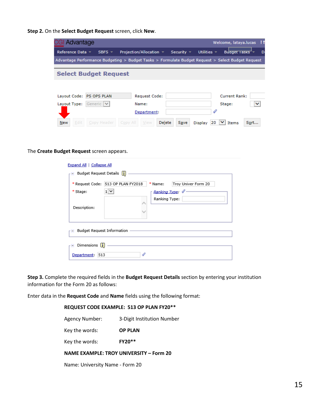**Step 2.** On the **Select Budget Request** screen, click **New**.

| CGI Advantage            |                              |                                                                                                   |                                   |                      | Welcome, lataya.lucas | - ! 1 |
|--------------------------|------------------------------|---------------------------------------------------------------------------------------------------|-----------------------------------|----------------------|-----------------------|-------|
| Reference Data ▼         | SBFS $\tau$                  | Projection/Allocation $\sim$                                                                      | Security $\overline{\phantom{a}}$ | Utilities $\sim$     | Buaget Tasks v        | D     |
|                          |                              | Advantage Performance Budgeting > Budget Tasks > Formulate Budget Request > Select Budget Request |                                   |                      |                       |       |
|                          | <b>Select Budget Request</b> |                                                                                                   |                                   |                      |                       |       |
|                          |                              |                                                                                                   |                                   |                      |                       |       |
| Layout Code: PS OPS PLAN |                              | Request Code:                                                                                     |                                   |                      | <b>Current Rank:</b>  |       |
| Layout Type:             | Generic V                    | Name:                                                                                             |                                   |                      | Stage:                | ◡     |
|                          |                              | Department:                                                                                       |                                   |                      |                       |       |
| Edit<br><b>New</b>       | Copy Header                  | Delete<br>Copy All<br>View                                                                        | Save                              | <b>Display</b><br>20 | $\checkmark$<br>Items | Sort  |

The **Create Budget Request** screen appears.

| Expand All   Collapse All                |                                                |               |                                        |
|------------------------------------------|------------------------------------------------|---------------|----------------------------------------|
| Budget Request Details [1]<br>rЕ.        |                                                |               |                                        |
| * Stage:                                 | * Request Code: 513 OP PLAN FY2018<br>$1 \vee$ | * Name:       | Troy Univer Form 20<br>Ranking Type: 4 |
| Description:                             |                                                | Ranking Type: |                                        |
| <b>Budget Request Information</b><br>r H |                                                |               |                                        |
| Dimensions [1]                           |                                                |               |                                        |
| Department: 513                          | P                                              |               |                                        |

**Step 3.** Complete the required fields in the **Budget Request Details** section by entering your institution information for the Form 20 as follows:

Enter data in the **Request Code** and **Name** fields using the following format:

**REQUEST CODE EXAMPLE: 513 OP PLAN FY20\*\***

| <b>Agency Number:</b>                   | 3-Digit Institution Number |  |  |  |
|-----------------------------------------|----------------------------|--|--|--|
| Key the words:                          | <b>OP PLAN</b>             |  |  |  |
| Key the words:                          | FY20**                     |  |  |  |
| NAME EXAMPLE: TROY UNIVERSITY - Form 20 |                            |  |  |  |
| Name: University Name - Form 20         |                            |  |  |  |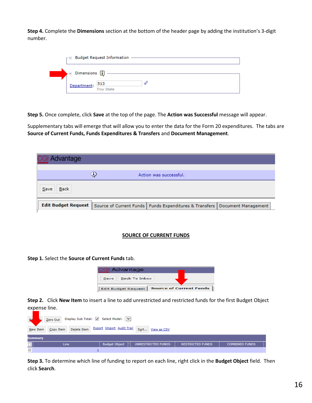**Step 4.** Complete the **Dimensions** section at the bottom of the header page by adding the institution's 3-digit number.

| $\overline{r}$ Budget Request Information $\overline{-}$                                              |                   |  |  |  |
|-------------------------------------------------------------------------------------------------------|-------------------|--|--|--|
| $\bullet \boxdot$ Dimensions $\begin{bmatrix} \color{red} \blacksquare \color{black} \end{bmatrix}$ – |                   |  |  |  |
| Department: 513                                                                                       | <b>Troy State</b> |  |  |  |

**Step 5.** Once complete, click **Save** at the top of the page. The **Action was Successful** message will appear.

Supplementary tabs will emerge that will allow you to enter the data for the Form 20 expenditures. The tabs are **Source of Current Funds, Funds Expenditures & Transfers** and **Document Management**.

| <b>CGI Advantage</b>       |    |                                                                                |  |
|----------------------------|----|--------------------------------------------------------------------------------|--|
|                            |    |                                                                                |  |
|                            | 3) | Action was successful.                                                         |  |
| Back<br>Save               |    |                                                                                |  |
| <b>Edit Budget Request</b> |    | Source of Current Funds   Funds Expenditures & Transfers   Document Management |  |

#### **SOURCE OF CURRENT FUNDS**

**Step 1.** Select the **Source of Current Funds** tab.

|      | <b>CGI Advantage</b>       |                                |
|------|----------------------------|--------------------------------|
| Save | <b>Back To Inbox</b>       |                                |
|      | <b>Edit Budget Request</b> | <b>Source of Current Funds</b> |

**Step 2.** Click **New Item** to insert a line to add unrestricted and restricted funds for the first Budget Object expense line.

| $\mathbb{R}$         | Zero Out Display Sub Total: V Select Model: V |                                                        |                         |                       |  |  |  |
|----------------------|-----------------------------------------------|--------------------------------------------------------|-------------------------|-----------------------|--|--|--|
|                      | Copy Item<br>New Item                         | Delete Item Export Import Audit Trail Sort View as CSV |                         |                       |  |  |  |
|                      | Summary                                       |                                                        |                         |                       |  |  |  |
| $\Box$               | <b>Line</b>                                   | <b>Budget Object</b><br>UNRESTRICTED FUNDS             | <b>RESTRICTED FUNDS</b> | <b>COMBINED FUNDS</b> |  |  |  |
| $\blacktriangledown$ |                                               |                                                        |                         |                       |  |  |  |

**Step 3.** To determine which line of funding to report on each line, right click in the **Budget Object** field. Then click **Search**.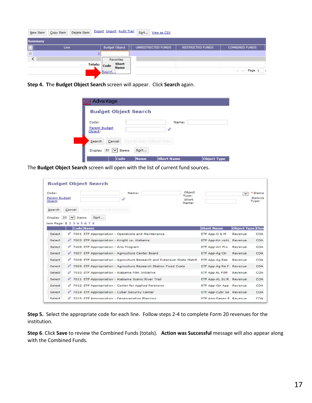| New Item                | Copy Item   | Delete Item | <b>Export Import Audit Trail</b>                                              | Sort View as CSV   |                         |                                                   |
|-------------------------|-------------|-------------|-------------------------------------------------------------------------------|--------------------|-------------------------|---------------------------------------------------|
| <b>Summary</b>          |             |             |                                                                               |                    |                         |                                                   |
| $\Box$                  | <b>Line</b> |             | <b>Budget Object</b>                                                          | UNRESTRICTED FUNDS | <b>RESTRICTED FUNDS</b> | <b>COMBINED FUNDS</b>                             |
| $\overline{\mathbf{v}}$ |             |             |                                                                               |                    |                         |                                                   |
|                         |             |             | <b>Favorites</b><br><b>Short</b><br>Totals: Code<br><b>Name</b><br><br>Search |                    |                         | $\mathbb{R}^n \ll \mathbb{R}$ Page $\mathbb{1}$ ( |

**Step 4. T**he **Budget Object Search** screen will appear. Click **Search** again.

| <b>Budget Object Search</b>                 |                            |
|---------------------------------------------|----------------------------|
| Code:<br><b>Parent Budget</b><br>Object:    | Name:<br>4                 |
| Cancel<br>Search                            | Sort by User-Defined Order |
| $20 \mid \vee \mid$ Items<br><b>Display</b> | Sort                       |

The **Budget Object Search** screen will open with the list of current fund sources.

| Code:<br><b>Parent Budget</b><br>Dbject:<br>Search | Cancel |              | Sort by User-Defined Order            | Name:                                                 |                                                                         | Object<br>Type:<br>Short<br>Name: |                         | $\checkmark$     | * Eleme<br>Itemiza<br>Type: |
|----------------------------------------------------|--------|--------------|---------------------------------------|-------------------------------------------------------|-------------------------------------------------------------------------|-----------------------------------|-------------------------|------------------|-----------------------------|
| Display 20<br>tem Page: 1 2 3 4 5 6 7 8            |        | $\vee$ Items | Sort                                  |                                                       |                                                                         |                                   |                         |                  |                             |
|                                                    |        | Code Name    |                                       |                                                       |                                                                         |                                   | <b>Short Name</b>       | Object Type Elen |                             |
| Select                                             |        |              |                                       | 7001 ETF Appropriation - Operations and Maintenance   |                                                                         |                                   | ETF App-O & M           | Revenue          | COA                         |
| Select                                             |        |              |                                       | 7003 ETF Appropriation - Knight vs. Alabama           |                                                                         |                                   | ETF App-Kn vsAL Revenue |                  | <b>COA</b>                  |
| Select                                             |        |              | 7006 ETF Appropriation - Arts Program |                                                       |                                                                         |                                   | <b>ETF App-Art Pro</b>  | Revenue          | <b>COA</b>                  |
| Select                                             |        |              |                                       | 7007 ETF Appropriation - Agriculture Center Board     |                                                                         |                                   | ETF App-Ag Ctr          | Revenue          | <b>COA</b>                  |
| Select                                             |        |              |                                       |                                                       | 7008 ETF Appropriation - Agriculture Research and Extension State Match |                                   | ETF App-Ag Res          | Revenue          | <b>COA</b>                  |
| Select                                             |        |              |                                       |                                                       | 7009 ETF Appropriation - Agriculture Research Station Fixed Costs       |                                   | ETF App-Ag Re F Revenue |                  | <b>COA</b>                  |
| Select                                             |        |              |                                       | 7010 ETF Appropriation - Alabama Film Initiative      |                                                                         |                                   | ETF App AL FilM         | Revenue          | COA                         |
| Select                                             |        |              |                                       | 7011 ETF Appropriation - Alabama Scenic River Trail   |                                                                         |                                   | ETF App-AL Sc R Revenue |                  | <b>COA</b>                  |
| Select                                             |        |              |                                       | 7012 ETF Appropriation - Center for Applied Forensics |                                                                         |                                   | ETF App-Ctr App Revenue |                  | COA                         |
| Select                                             |        |              |                                       | 7014 ETF Appropriation - Cyber Security Center        |                                                                         |                                   | ETF App-Cybr Se Revenue |                  | <b>COA</b>                  |
| Select                                             |        |              |                                       | 7015 FTF Annonpriation - Desegregation Planning       |                                                                         |                                   | FTF Ann-Desen P Revenue |                  | COA                         |

**Step 5.** Select the appropriate code for each line. Follow steps 2-4 to complete Form 20 revenues for the institution.

**Step 6**. Click **Save** to review the Combined Funds (totals). **Action was Successful** message will also appear along with the Combined Funds.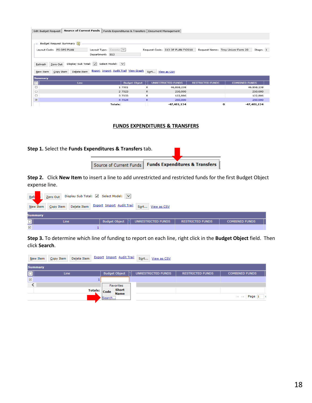| Source of Current Funds  <br>Edit Budget Request            | Funds Expenditures & Transfers   Document Management |                                  |                                   |                       |  |  |  |
|-------------------------------------------------------------|------------------------------------------------------|----------------------------------|-----------------------------------|-----------------------|--|--|--|
|                                                             |                                                      |                                  |                                   |                       |  |  |  |
|                                                             |                                                      |                                  |                                   |                       |  |  |  |
| Budget Request Summary<br>$-1$                              |                                                      |                                  |                                   |                       |  |  |  |
| Layout Code: PS OPS PLAN                                    | Layout Type: Generic V                               | Request Code: 513 OP PLAN FY2018 | Request Name: Troy Univer Form 20 | Stage: 1              |  |  |  |
|                                                             | Department: 513                                      |                                  |                                   |                       |  |  |  |
|                                                             |                                                      |                                  |                                   |                       |  |  |  |
| Display Sub Total: V Select Model: V<br>Zero Out<br>Refresh |                                                      |                                  |                                   |                       |  |  |  |
|                                                             |                                                      |                                  |                                   |                       |  |  |  |
| Delete Item<br>New Item<br>Copy Item                        | Export Import Audit Trail View Graph                 | Sort View as CSV                 |                                   |                       |  |  |  |
| <b>Summary</b>                                              |                                                      |                                  |                                   |                       |  |  |  |
| o<br>Line                                                   | <b>Budget Object</b>                                 | UNRESTRICTED FUNDS               | <b>RESTRICTED FUNDS</b>           | <b>COMBINED FUNDS</b> |  |  |  |
| □                                                           | 1 7001                                               | R<br>46,858,238                  |                                   | 46,858,238            |  |  |  |
|                                                             |                                                      |                                  |                                   |                       |  |  |  |
| $\Box$                                                      | 2 7023                                               | $\mathsf R$<br>250,000           |                                   | 250,000               |  |  |  |
| $\Box$                                                      | 3 7033                                               | $\sf R$<br>122,886               |                                   | 122,886               |  |  |  |
| $\overline{\mathbf{v}}$                                     | 4 7024                                               | $\mathbb{R}$<br>250,000          |                                   | 250,000               |  |  |  |

#### **FUNDS EXPENDITURES & TRANSFERS**

**Step 1.** Select the **Funds Expenditures & Transfers** tab.

| Source of Current Funds   Funds Expenditures & Transfers |  |
|----------------------------------------------------------|--|

**Step 2.** Click **New Item** to insert a line to add unrestricted and restricted funds for the first Budget Object expense line.

| Reff         | Display Sub Total: V Select Model: V<br>Zero Out |                                                        |                         |                       |  |  |  |
|--------------|--------------------------------------------------|--------------------------------------------------------|-------------------------|-----------------------|--|--|--|
| New Item     | Copy Item                                        | Delete Item Export Import Audit Trail Sort View as CSV |                         |                       |  |  |  |
| Summary      |                                                  |                                                        |                         |                       |  |  |  |
| $\Box$       | <b>Line</b>                                      | <b>Budget Object</b><br>Ia.<br>UNRESTRICTED FUNDS      | <b>RESTRICTED FUNDS</b> | <b>COMBINED FUNDS</b> |  |  |  |
| $\checkmark$ |                                                  |                                                        |                         |                       |  |  |  |

**Step 3.** To determine which line of funding to report on each line, right click in the **Budget Object** field. Then click **Search**.

| New Item                | Delete Item<br>Copy Item |         | <b>Export Import Audit Trail</b> | Sort<br>View as CSV |                         |                                                                |
|-------------------------|--------------------------|---------|----------------------------------|---------------------|-------------------------|----------------------------------------------------------------|
| <b>Summary</b>          |                          |         |                                  |                     |                         |                                                                |
| $\Box$                  | Line                     |         | <b>Budget Object</b>             | UNRESTRICTED FUNDS  | <b>RESTRICTED FUNDS</b> | <b>COMBINED FUNDS</b>                                          |
| $\overline{\mathbf{v}}$ |                          |         |                                  |                     |                         |                                                                |
|                         |                          |         | <b>Favorites</b>                 |                     |                         |                                                                |
|                         |                          | Totals: | Short<br>Code<br><b>Name</b>     |                     |                         |                                                                |
|                         |                          |         | ,,,,,,,,,,,,,,,<br>Search        |                     |                         | Page 1<br>$\  \cdot \  \cdot \  \cdot \cdot \cdot \  \cdot \ $ |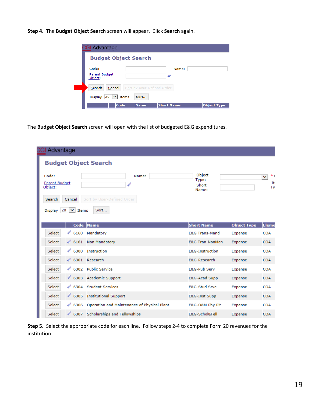**Step 4. T**he **Budget Object Search** screen will appear. Click **Search** again.

| <b>CGI Advantage</b>                                |                                          |                    |
|-----------------------------------------------------|------------------------------------------|--------------------|
| <b>Budget Object Search</b>                         |                                          |                    |
| Code:<br>Parent Budget<br>Object:                   | 4                                        | Name:              |
| Cancel<br>Search                                    | Sort by User-Defined Order               |                    |
| $20 \mid \vee \mid$ Items<br><b>Display</b><br>Code | Sort<br><b>Short Name</b><br><b>Name</b> | <b>Object Type</b> |

The **Budget Object Search** screen will open with the list of budgeted E&G expenditures.

| Advantage                                                                                              |                                                                    |                                        |                    |                                |  |
|--------------------------------------------------------------------------------------------------------|--------------------------------------------------------------------|----------------------------------------|--------------------|--------------------------------|--|
| <b>Budget Object Search</b>                                                                            |                                                                    |                                        |                    |                                |  |
| Code:<br>Parent Budget<br>Object:<br>Cancel<br>Search<br>$\checkmark$<br>20<br><b>Display</b><br>Items | Name:<br>4<br>Sort by User-Defined Order<br>Sort                   | Object<br>Type:<br>Short<br>Name:      |                    | *I<br>$\checkmark$<br>It<br>Ty |  |
| Code                                                                                                   | <b>Name</b>                                                        | <b>Short Name</b>                      | <b>Object Type</b> | <b>Eleme</b>                   |  |
| 4<br>Select<br>6160                                                                                    | Mandatory                                                          | <b>E&amp;G Trans-Mand</b>              | Expense            | <b>COA</b>                     |  |
| Select<br>$\mathscr{Q}$ 6161                                                                           | Non Mandatory                                                      | <b>E&amp;G Tran-NonMan</b>             | Expense            | <b>COA</b>                     |  |
| 4<br>Select<br>6300                                                                                    | Instruction<br><b>E&amp;G-Instruction</b><br><b>COA</b><br>Expense |                                        |                    |                                |  |
| Select                                                                                                 | ♦ 6301 Research                                                    | E&G-Research<br>Expense<br><b>COA</b>  |                    |                                |  |
| 4<br>Select                                                                                            | 6302 Public Service                                                | <b>E&amp;G-Pub Serv</b>                | Expense            | <b>COA</b>                     |  |
| Select                                                                                                 | ♦ 6303 Academic Support<br>E&G-Acad Supp                           |                                        | Expense            | <b>COA</b>                     |  |
| $\mathscr Q$ 6304<br>Select                                                                            | <b>Student Services</b><br><b>E&amp;G-Stud Srvc</b><br>Expense     |                                        | <b>COA</b>         |                                |  |
| Select                                                                                                 | ♦ 6305 Institutional Support                                       | <b>COA</b><br>E&G-Inst Supp<br>Expense |                    |                                |  |
| 4<br>Select<br>6306                                                                                    | Operation and Maintenance of Physical Plant                        | E&G-O&M Phy Plt                        | Expense            | <b>COA</b>                     |  |
| 4<br>6307<br>Select                                                                                    | Scholarships and Fellowships                                       | E&G-Schol&Fell                         | Expense            | COA                            |  |

**Step 5.** Select the appropriate code for each line. Follow steps 2-4 to complete Form 20 revenues for the institution.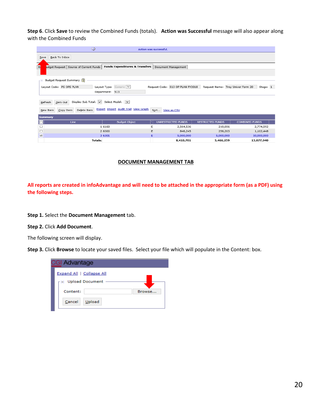**Step 6**. Click **Save** to review the Combined Funds (totals). **Action was Successful** message will also appear along with the Combined Funds

| $\bigcirc$                                                                                                       |                                      | Action was successful. |                                  |                                   |                       |
|------------------------------------------------------------------------------------------------------------------|--------------------------------------|------------------------|----------------------------------|-----------------------------------|-----------------------|
| Back To Inbox<br>$S$ ave<br>۰.                                                                                   |                                      |                        |                                  |                                   |                       |
| E<br><b>Funds Expenditures &amp; Transfers</b><br>udget Request   Source of Current Funds<br>Document Management |                                      |                        |                                  |                                   |                       |
| Budget Request Summary [1]<br>- 8                                                                                |                                      |                        |                                  |                                   |                       |
| Layout Code: PS OPS PLAN                                                                                         | Layout Type: Generic V               |                        | Request Code: 513 OP PLAN FY2018 | Request Name: Troy Univer Form 20 | Stage: 1              |
|                                                                                                                  | Department: 513                      |                        |                                  |                                   |                       |
| Display Sub Total: 0 Select Model: V<br>Zero Out<br>Refresh                                                      |                                      |                        |                                  |                                   |                       |
| Delete Item<br>New Item<br>Copy Item                                                                             | Export Import Audit Trail View Graph | Sort                   | View as CSV                      |                                   |                       |
| <b>Summary</b>                                                                                                   |                                      |                        |                                  |                                   |                       |
| o<br>Line                                                                                                        | <b>Budget Object</b>                 |                        | UNRESTRICTED FUNDS               | <b>RESTRICTED FUNDS</b>           | <b>COMBINED FUNDS</b> |
| $\Box$                                                                                                           | 1 6160                               | Е                      | 2,564,536                        | 210,056                           | 2,774,592             |
| □                                                                                                                | 2 6300                               | E                      | 846,245                          | 256,203                           | 1,102,448             |
| $\triangleright$                                                                                                 | 3 6301                               | Е                      | 5,000,000                        | 5,000,000                         | 10,000,000            |
| <b>Totals:</b>                                                                                                   |                                      |                        | 8,410,781                        | 5,466,259                         | 13,877,040            |

#### **DOCUMENT MANAGEMENT TAB**

**All reports are created in infoAdvantage and will need to be attached in the appropriate form (as a PDF) using the following steps.** 

**Step 1.** Select the **Document Management** tab.

**Step 2.** Click **Add Document**.

The following screen will display.

**Step 3.** Click **Browse** to locate your saved files. Select your file which will populate in the Content: box.

| <b>CGI Advantage</b>      |        |  |  |  |  |
|---------------------------|--------|--|--|--|--|
| Expand All   Collapse All |        |  |  |  |  |
| □ Upload Document         |        |  |  |  |  |
| Content:                  | Browse |  |  |  |  |
| Upload<br>Cancel          |        |  |  |  |  |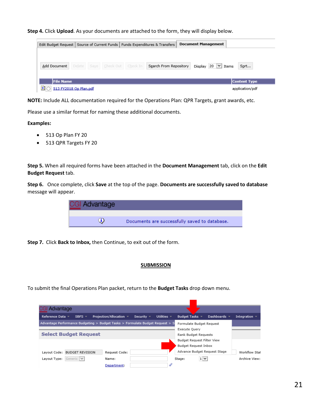**Step 4.** Click **Upload**. As your documents are attached to the form, they will display below.



**NOTE:** Include ALL documentation required for the Operations Plan: QPR Targets, grant awards, etc.

Please use a similar format for naming these additional documents.

#### **Examples:**

- 513 Op Plan FY 20
- 513 QPR Targets FY 20

**Step 5.** When all required forms have been attached in the **Document Management** tab, click on the **Edit Budget Request** tab.

**Step 6.** Once complete, click **Save** at the top of the page. **Documents are successfully saved to database**  message will appear.



**Step 7.** Click **Back to Inbox,** then Continue, to exit out of the form.

#### **SUBMISSION**

To submit the final Operations Plan packet, return to the **Budget Tasks** drop down menu.

| Advantage                                                                     |                              |                                                           |                              |              |                    |
|-------------------------------------------------------------------------------|------------------------------|-----------------------------------------------------------|------------------------------|--------------|--------------------|
| Reference Data ▼<br>SBFS $\neq$                                               | Projection/Allocation $\sim$ | Utilities $\overline{\phantom{a}}$<br>Security $\sqrt{ }$ | Budget Tasks ▼               | Dashboards = | Integration $\sim$ |
| Advantage Performance Budgeting > Budget Tasks > Formulate Budget Request > S |                              |                                                           | Formulate Budget Request     |              |                    |
|                                                                               |                              |                                                           | Execute Ouery                |              |                    |
| <b>Select Budget Request</b>                                                  |                              |                                                           | Rank Budget Requests         |              |                    |
|                                                                               |                              |                                                           | Budget Request Filter View   |              |                    |
|                                                                               |                              |                                                           | Budget Request Inbox         |              |                    |
| Layout Code: BUDGET REVISION                                                  | Request Code:                |                                                           | Advance Budget Request Stage |              | Workflow Stat      |
| Generic $ v $<br>Layout Type:                                                 | Name:                        |                                                           | $1 \vee$<br>Stage:           |              | Archive View:      |
|                                                                               | Department:                  | 4                                                         |                              |              |                    |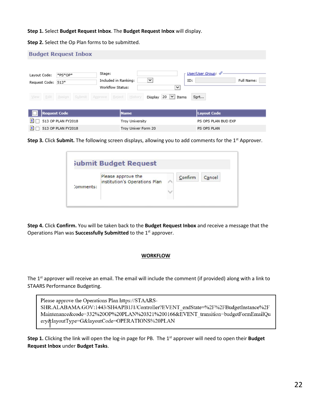**Step 1.** Select **Budget Request Inbox**. The **Budget Request Inbox** will display.

**Step 2.** Select the Op Plan forms to be submitted.

|                                    | <b>Budget Request Inbox</b> |                                                             |                                                                 |                     |
|------------------------------------|-----------------------------|-------------------------------------------------------------|-----------------------------------------------------------------|---------------------|
| Layout Code:<br>Request Code: 513* | *PS*OP*                     | Stage:<br>$\check{~}$<br>Included in Ranking:               | User/User Group: 4<br>ID:                                       | Full Name:          |
| Edit<br>View                       | Submit<br>Assign            | Workflow Status:<br>Reject<br>History<br>Display<br>Approve | $\checkmark$<br>20<br>$\vert \mathsf{v} \vert$<br>Sort<br>Items |                     |
| <b>Request Code</b>                |                             | <b>Name</b>                                                 | Layout Code                                                     |                     |
| Đ                                  | 513 OP PLAN FY2018          | Troy University                                             |                                                                 | PS OPS PLAN BUD EXP |
| B                                  | 513 OP PLAN FY2018          | Troy Univer Form 20                                         | PS OPS PLAN                                                     |                     |

**Step 3.** Click **Submit.** The following screen displays, allowing you to add comments for the 1<sup>st</sup> Approver.

|           | <b>Submit Budget Request</b>                        |         |        |
|-----------|-----------------------------------------------------|---------|--------|
| Comments: | Please approve the<br>institution's Operations Plan | Confirm | Cancel |

**Step 4.** Click **Confirm.** You will be taken back to the **Budget Request Inbox** and receive a message that the Operations Plan was **Successfully Submitted** to the 1<sup>st</sup> approver.

#### **WORKFLOW**

The 1<sup>st</sup> approver will receive an email. The email will include the comment (if provided) along with a link to STAARS Performance Budgeting.

Please approve the Operations Plan https://STAARS-SHR.ALABAMA.GOV:1443/SH4APB1J1/Controller?EVENT endState=%2F%2FBudgetInstance%2F Maintenance&code=332%20OP%20PLAN%20321%200166&EVENT transition=budgetFormEmailQu ery&layoutType=G&layoutCode=OPERATIONS%20PLAN

**Step 1.** Clicking the link will open the log-in page for PB. The 1<sup>st</sup> approver will need to open their **Budget Request Inbox** under **Budget Tasks**.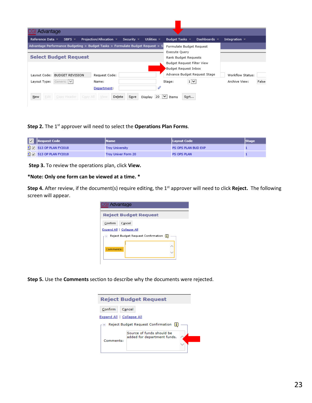| <b>CGI Advantage</b>                                                                                          |                                                            |
|---------------------------------------------------------------------------------------------------------------|------------------------------------------------------------|
| Utilities $\sim$<br>Projection/Allocation =<br>Reference Data ▼<br>SBFS $\overline{ }$<br>Security $\sqrt{ }$ | Dashboards =<br>Budget Tasks =<br>Integration $\mathbb{R}$ |
| Advantage Performance Budgeting > Budget Tasks > Formulate Budget Request > S                                 | Formulate Budget Request                                   |
|                                                                                                               | Execute Query                                              |
| <b>Select Budget Request</b>                                                                                  | Rank Budget Requests                                       |
|                                                                                                               | Budget Request Filter View                                 |
|                                                                                                               | Budget Request Inbox                                       |
| Layout Code: BUDGET REVISION<br>Request Code:                                                                 | Advance Budget Request Stage<br>Workflow Status:           |
| Generic $\vee$<br>Layout Type:<br>Name:                                                                       | $1$ $\vee$<br>Archive View:<br>False<br>Stage:             |
| Department:                                                                                                   |                                                            |
| Edit<br>Delete<br>Save<br>$New$<br>Copy Header<br>Copy All<br>View<br>Display<br>20                           | $\checkmark$<br>Sort<br>Items                              |

#### **Step 2.** The 1<sup>st</sup> approver will need to select the **Operations Plan Forms**.

| <b>7</b> Request Code                         | <b>Name</b>            | Layout Code         | <b>Stage</b> |
|-----------------------------------------------|------------------------|---------------------|--------------|
| $\boxed{\bigtriangledown}$ 513 OP PLAN FY2018 | <b>Troy University</b> | PS OPS PLAN BUD EXP |              |
| $\boxed{3}$ $\boxed{7}$ 513 OP PLAN FY2018    | Troy Univer Form 20    | PS OPS PLAN         |              |

**Step 3.** To review the operations plan, click **View.**

#### **\*Note: Only one form can be viewed at a time. \***

**Step 4.** After review, if the document(s) require editing, the 1st approver will need to click **Reject.** The following screen will appear.



**Step 5.** Use the **Comments** section to describe why the documents were rejected.

| <b>Reject Budget Request</b>            |                                                          |  |  |  |  |  |
|-----------------------------------------|----------------------------------------------------------|--|--|--|--|--|
| Confirm<br>Cancel                       |                                                          |  |  |  |  |  |
| Expand All   Collapse All               |                                                          |  |  |  |  |  |
| Reject Budget Request Confirmation<br>H |                                                          |  |  |  |  |  |
| Comments:                               | Source of funds should be<br>added for department funds. |  |  |  |  |  |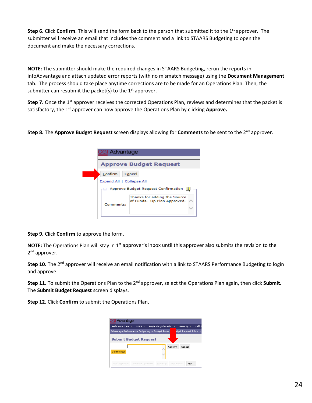**Step 6.** Click **Confirm**. This will send the form back to the person that submitted it to the 1<sup>st</sup> approver. The submitter will receive an email that includes the comment and a link to STAARS Budgeting to open the document and make the necessary corrections.

**NOTE:** The submitter should make the required changes in STAARS Budgeting, rerun the reports in infoAdvantage and attach updated error reports (with no mismatch message) using the **Document Management** tab. The process should take place anytime corrections are to be made for an Operations Plan. Then, the submitter can resubmit the packet(s) to the  $1<sup>st</sup>$  approver.

**Step 7.** Once the 1<sup>st</sup> approver receives the corrected Operations Plan, reviews and determines that the packet is satisfactory, the 1<sup>st</sup> approver can now approve the Operations Plan by clicking **Approve.** 

**Step 8.** The **Approve Budget Request** screen displays allowing for **Comments** to be sent to the 2<sup>nd</sup> approver.

| <b>CGI Advantage</b>      |                                                             |  |  |  |  |  |
|---------------------------|-------------------------------------------------------------|--|--|--|--|--|
|                           | <b>Approve Budget Request</b>                               |  |  |  |  |  |
| Confirm                   | Cancel                                                      |  |  |  |  |  |
| Expand All   Collapse All | Approve Budget Request Confirmation                         |  |  |  |  |  |
| Comments:                 | Thanks for adding the Source<br>of Funds. Op Plan Approved. |  |  |  |  |  |

**Step 9.** Click **Confirm** to approve the form.

**NOTE:** The Operations Plan will stay in 1<sup>st</sup> approver's inbox until this approver also submits the revision to the 2<sup>nd</sup> approver.

**Step 10.** The 2<sup>nd</sup> approver will receive an email notification with a link to STAARS Performance Budgeting to login and approve.

**Step 11.** To submit the Operations Plan to the 2nd approver, select the Operations Plan again, then click **Submit.** The **Submit Budget Request** screen displays.

**Step 12.** Click **Confirm** to submit the Operations Plan.